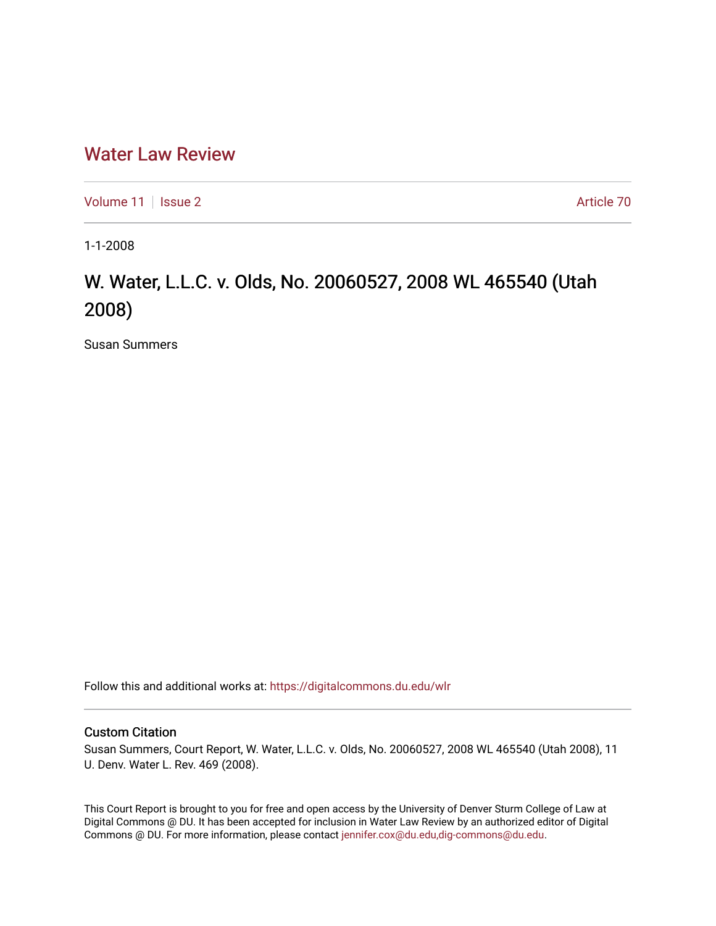## [Water Law Review](https://digitalcommons.du.edu/wlr)

[Volume 11](https://digitalcommons.du.edu/wlr/vol11) | [Issue 2](https://digitalcommons.du.edu/wlr/vol11/iss2) Article 70

1-1-2008

## W. Water, L.L.C. v. Olds, No. 20060527, 2008 WL 465540 (Utah 2008)

Susan Summers

Follow this and additional works at: [https://digitalcommons.du.edu/wlr](https://digitalcommons.du.edu/wlr?utm_source=digitalcommons.du.edu%2Fwlr%2Fvol11%2Fiss2%2F70&utm_medium=PDF&utm_campaign=PDFCoverPages) 

## Custom Citation

Susan Summers, Court Report, W. Water, L.L.C. v. Olds, No. 20060527, 2008 WL 465540 (Utah 2008), 11 U. Denv. Water L. Rev. 469 (2008).

This Court Report is brought to you for free and open access by the University of Denver Sturm College of Law at Digital Commons @ DU. It has been accepted for inclusion in Water Law Review by an authorized editor of Digital Commons @ DU. For more information, please contact [jennifer.cox@du.edu,dig-commons@du.edu.](mailto:jennifer.cox@du.edu,dig-commons@du.edu)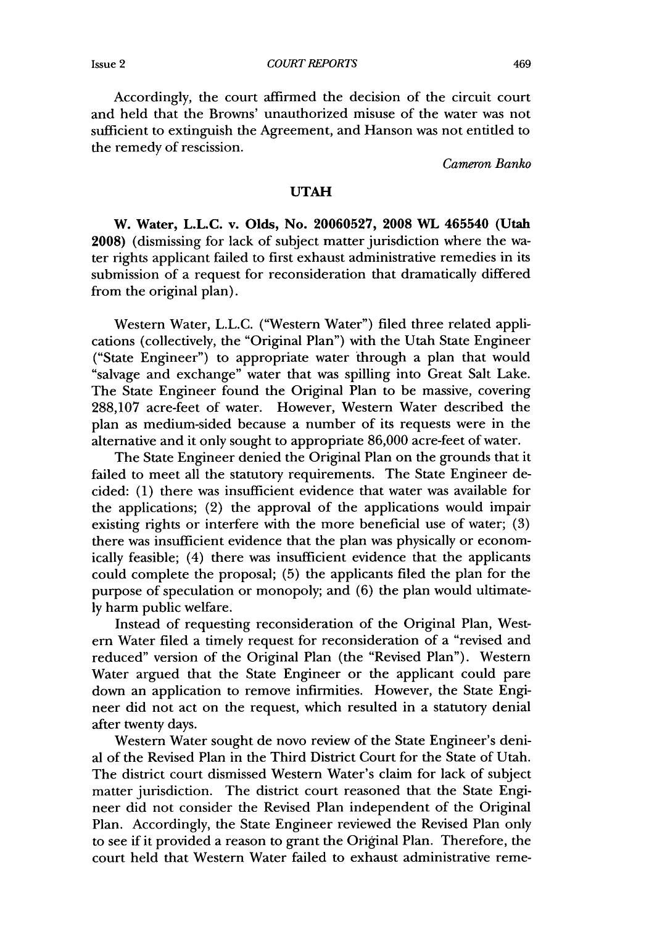*COURT REPORTS*

Accordingly, the court affirmed the decision of the circuit court and held that the Browns' unauthorized misuse of the water was not sufficient to extinguish the Agreement, and Hanson was not entitled to the remedy of rescission.

*Cameron Banko*

## **UTAH**

W. Water, L.L.C. v. Olds, No. **20060527, 2008** WL 465540 (Utah **2008)** (dismissing for lack of subject matter jurisdiction where the water rights applicant failed to first exhaust administrative remedies in its submission of a request for reconsideration that dramatically differed from the original plan).

Western Water, L.L.C. ("Western Water") filed three related applications (collectively, the "Original Plan") with the Utah State Engineer ("State Engineer") to appropriate water through a plan that would "salvage and exchange" water that was spilling into Great Salt Lake. The State Engineer found the Original Plan to be massive, covering 288,107 acre-feet of water. However, Western Water described the plan as medium-sided because a number of its requests were in the alternative and it only sought to appropriate 86,000 acre-feet of water.

The State Engineer denied the Original Plan on the grounds that it failed to meet all the statutory requirements. The State Engineer decided: (1) there was insufficient evidence that water was available for the applications; (2) the approval of the applications would impair existing rights or interfere with the more beneficial use of water; (3) there was insufficient evidence that the plan was physically or economically feasible; (4) there was insufficient evidence that the applicants could complete the proposal; (5) the applicants filed the plan for the purpose of speculation or monopoly; and (6) the plan would ultimately harm public welfare.

Instead of requesting reconsideration of the Original Plan, Western Water filed a timely request for reconsideration of a "revised and reduced" version of the Original Plan (the "Revised Plan"). Western Water argued that the State Engineer or the applicant could pare down an application to remove infirmities. However, the State Engineer did not act on the request, which resulted in a statutory denial after twenty days.

Western Water sought de novo review of the State Engineer's denial of the Revised Plan in the Third District Court for the State of Utah. The district court dismissed Western Water's claim for lack of subject matter jurisdiction. The district court reasoned that the State Engineer did not consider the Revised Plan independent of the Original Plan. Accordingly, the State Engineer reviewed the Revised Plan only to see if it provided a reason to grant the Original Plan. Therefore, the court held that Western Water failed to exhaust administrative reme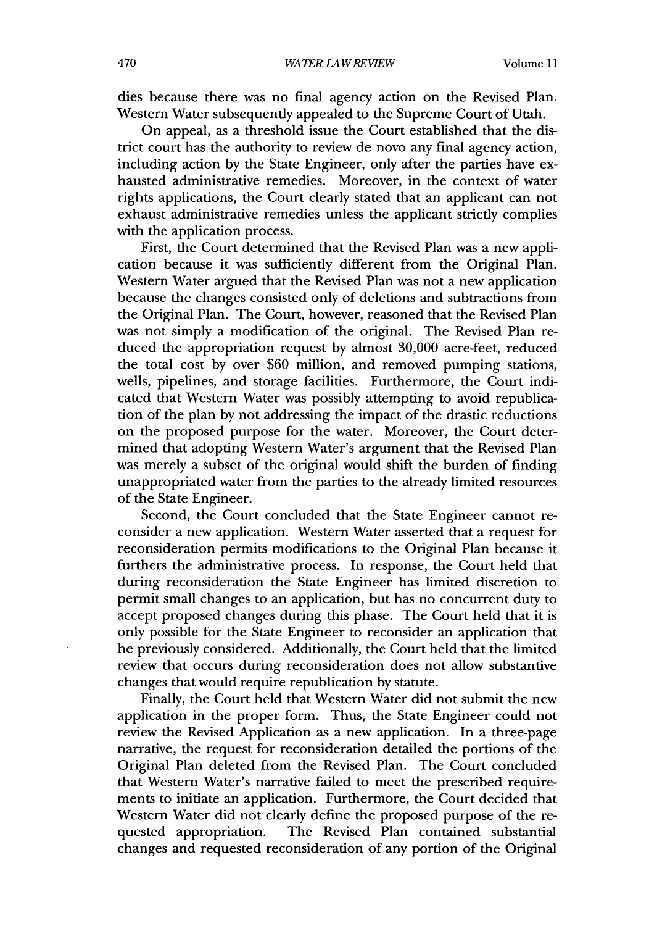dies because there was no final agency action on the Revised Plan. Western Water subsequently appealed to the Supreme Court of Utah.

On appeal, as a threshold issue the Court established that the district court has the authority to review de novo any final agency action, including action by the State Engineer, only after the parties have exhausted administrative remedies. Moreover, in the context of water rights applications, the Court clearly stated that an applicant can not exhaust administrative remedies unless the applicant strictly complies with the application process.

First, the Court determined that the Revised Plan was a new application because it was sufficiently different from the Original Plan. Western Water argued that the Revised Plan was not a new application because the changes consisted only of deletions and subtractions from the Original Plan. The Court, however, reasoned that the Revised Plan was not simply a modification of the original. The Revised Plan reduced the appropriation request by almost 30,000 acre-feet, reduced the total cost by over \$60 million, and removed pumping stations, wells, pipelines, and storage facilities. Furthermore, the Court indicated that Western Water was possibly attempting to avoid republication of the plan by not addressing the impact of the drastic reductions on the proposed purpose for the water. Moreover, the Court determined that adopting Western Water's argument that the Revised Plan was merely a subset of the original would shift the burden of finding unappropriated water from the parties to the already limited resources of the State Engineer.

Second, the Court concluded that the State Engineer cannot reconsider a new application. Western Water asserted that a request for reconsideration permits modifications to the Original Plan because it furthers the administrative process. In response, the Court held that during reconsideration the State Engineer has limited discretion to permit small changes to an application, but has no concurrent duty to accept proposed changes during this phase. The Court held that it is only possible for the State Engineer to reconsider an application that he previously considered. Additionally, the Court held that the limited review that occurs during reconsideration does not allow substantive changes that would require republication by statute.

Finally, the Court held that Western Water did not submit the new application in the proper form. Thus, the State Engineer could not review the Revised Application as a new application. In a three-page narrative, the request for reconsideration detailed the portions of the Original Plan deleted from the Revised Plan. The Court concluded that Western Water's narrative failed to meet the prescribed requirements to initiate an application. Furthermore, the Court decided that Western Water did not clearly define the proposed purpose of the requested appropriation. The Revised Plan contained substantial changes and requested reconsideration of any portion of the Original